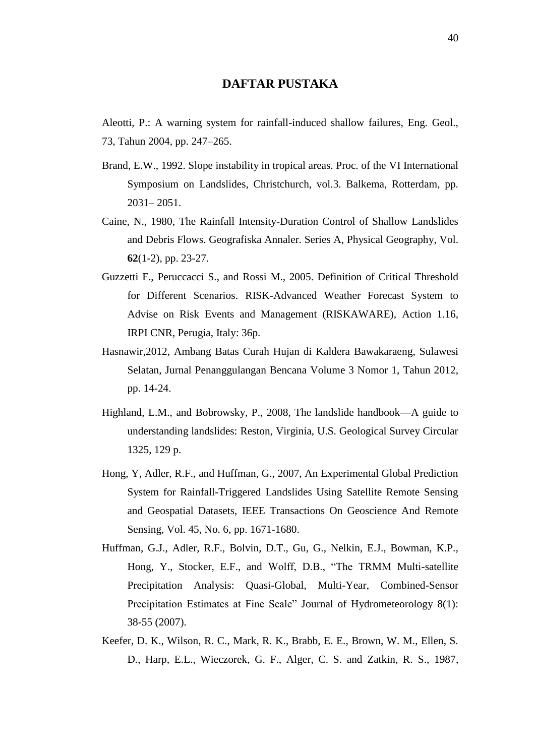## **DAFTAR PUSTAKA**

Aleotti, P.: A warning system for rainfall-induced shallow failures, Eng. Geol., 73, Tahun 2004, pp. 247–265.

- Brand, E.W., 1992. Slope instability in tropical areas. Proc. of the VI International Symposium on Landslides, Christchurch, vol.3. Balkema, Rotterdam, pp. 2031– 2051.
- Caine, N., 1980, The Rainfall Intensity-Duration Control of Shallow Landslides and Debris Flows. Geografiska Annaler. Series A, Physical Geography, Vol. **62**(1-2), pp. 23-27.
- Guzzetti F., Peruccacci S., and Rossi M., 2005. Definition of Critical Threshold for Different Scenarios. RISK-Advanced Weather Forecast System to Advise on Risk Events and Management (RISKAWARE), Action 1.16, IRPI CNR, Perugia, Italy: 36p.
- Hasnawir,2012, Ambang Batas Curah Hujan di Kaldera Bawakaraeng, Sulawesi Selatan, Jurnal Penanggulangan Bencana Volume 3 Nomor 1, Tahun 2012, pp. 14-24.
- Highland, L.M., and Bobrowsky, P., 2008, The landslide handbook—A guide to understanding landslides: Reston, Virginia, U.S. Geological Survey Circular 1325, 129 p.
- Hong, Y, Adler, R.F., and Huffman, G., 2007, An Experimental Global Prediction System for Rainfall-Triggered Landslides Using Satellite Remote Sensing and Geospatial Datasets, IEEE Transactions On Geoscience And Remote Sensing, Vol. 45, No. 6, pp. 1671-1680.
- Huffman, G.J., Adler, R.F., Bolvin, D.T., Gu, G., Nelkin, E.J., Bowman, K.P., Hong, Y., Stocker, E.F., and Wolff, D.B., "The TRMM Multi-satellite Precipitation Analysis: Quasi-Global, Multi-Year, Combined-Sensor Precipitation Estimates at Fine Scale" Journal of Hydrometeorology 8(1): 38-55 (2007).
- Keefer, D. K., Wilson, R. C., Mark, R. K., Brabb, E. E., Brown, W. M., Ellen, S. D., Harp, E.L., Wieczorek, G. F., Alger, C. S. and Zatkin, R. S., 1987,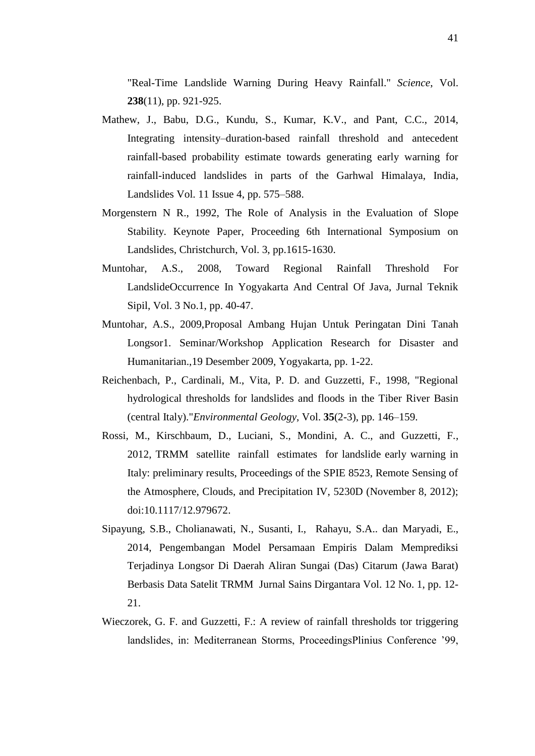"Real-Time Landslide Warning During Heavy Rainfall." *Science*, Vol. **238**(11), pp. 921-925.

- Mathew, J., Babu, D.G., Kundu, S., Kumar, K.V., and Pant, C.C., 2014, Integrating intensity–duration-based rainfall threshold and antecedent rainfall-based probability estimate towards generating early warning for rainfall-induced landslides in parts of the Garhwal Himalaya, India, Landslides Vol. 11 Issue 4, pp. 575–588.
- Morgenstern N R., 1992, The Role of Analysis in the Evaluation of Slope Stability. Keynote Paper, Proceeding 6th International Symposium on Landslides, Christchurch, Vol. 3, pp.1615-1630.
- Muntohar, A.S., 2008, Toward Regional Rainfall Threshold For LandslideOccurrence In Yogyakarta And Central Of Java, Jurnal Teknik Sipil, Vol. 3 No.1, pp. 40-47.
- Muntohar, A.S., 2009,Proposal Ambang Hujan Untuk Peringatan Dini Tanah Longsor1. Seminar/Workshop Application Research for Disaster and Humanitarian.,19 Desember 2009, Yogyakarta, pp. 1-22.
- Reichenbach, P., Cardinali, M., Vita, P. D. and Guzzetti, F., 1998, "Regional hydrological thresholds for landslides and floods in the Tiber River Basin (central Italy)."*Environmental Geology*, Vol. **35**(2-3), pp. 146–159.
- Rossi, M., Kirschbaum, D., Luciani, S., Mondini, A. C., and Guzzetti, F., 2012, TRMM satellite rainfall estimates for landslide early warning in Italy: preliminary results, Proceedings of the SPIE 8523, Remote Sensing of the Atmosphere, Clouds, and Precipitation IV, 5230D (November 8, 2012); doi:10.1117/12.979672.
- Sipayung, S.B., Cholianawati, N., Susanti, I., Rahayu, S.A.. dan Maryadi, E., 2014, Pengembangan Model Persamaan Empiris Dalam Memprediksi Terjadinya Longsor Di Daerah Aliran Sungai (Das) Citarum (Jawa Barat) Berbasis Data Satelit TRMM Jurnal Sains Dirgantara Vol. 12 No. 1, pp. 12- 21.
- Wieczorek, G. F. and Guzzetti, F.: A review of rainfall thresholds tor triggering landslides, in: Mediterranean Storms, ProceedingsPlinius Conference '99,